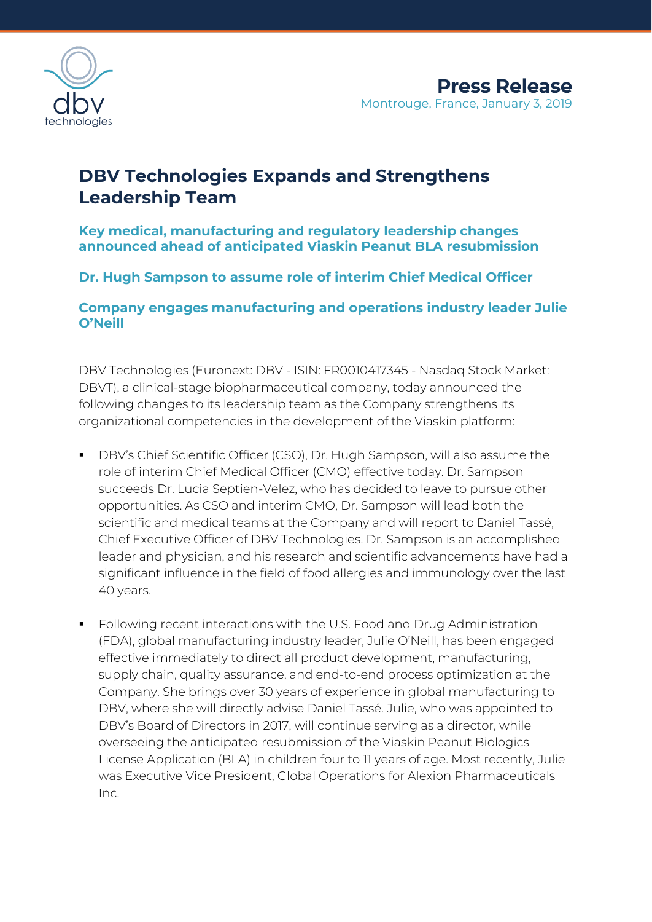

# **DBV Technologies Expands and Strengthens Leadership Team**

## **Key medical, manufacturing and regulatory leadership changes announced ahead of anticipated Viaskin Peanut BLA resubmission**

## **Dr. Hugh Sampson to assume role of interim Chief Medical Officer**

**Company engages manufacturing and operations industry leader Julie O'Neill**

DBV Technologies (Euronext: DBV - ISIN: FR0010417345 - Nasdaq Stock Market: DBVT), a clinical-stage biopharmaceutical company, today announced the following changes to its leadership team as the Company strengthens its organizational competencies in the development of the Viaskin platform:

- DBV's Chief Scientific Officer (CSO), Dr. Hugh Sampson, will also assume the role of interim Chief Medical Officer (CMO) effective today. Dr. Sampson succeeds Dr. Lucia Septien-Velez, who has decided to leave to pursue other opportunities. As CSO and interim CMO, Dr. Sampson will lead both the scientific and medical teams at the Company and will report to Daniel Tassé, Chief Executive Officer of DBV Technologies. Dr. Sampson is an accomplished leader and physician, and his research and scientific advancements have had a significant influence in the field of food allergies and immunology over the last 40 years.
- Following recent interactions with the U.S. Food and Drug Administration (FDA), global manufacturing industry leader, Julie O'Neill, has been engaged effective immediately to direct all product development, manufacturing, supply chain, quality assurance, and end-to-end process optimization at the Company. She brings over 30 years of experience in global manufacturing to DBV, where she will directly advise Daniel Tassé. Julie, who was appointed to DBV's Board of Directors in 2017, will continue serving as a director, while overseeing the anticipated resubmission of the Viaskin Peanut Biologics License Application (BLA) in children four to 11 years of age. Most recently, Julie was Executive Vice President, Global Operations for Alexion Pharmaceuticals Inc.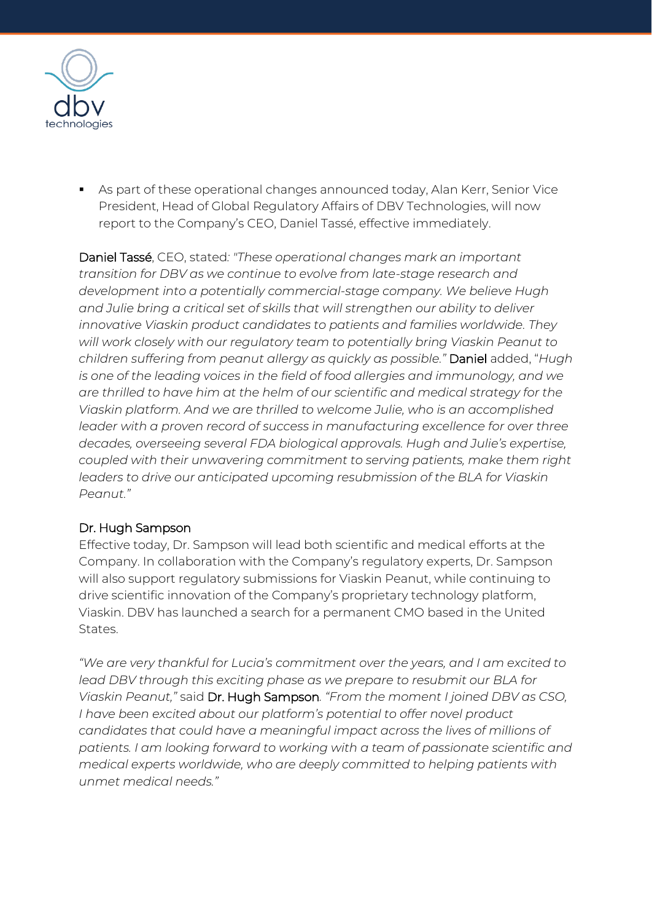

**EX As part of these operational changes announced today, Alan Kerr, Senior Vice** President, Head of Global Regulatory Affairs of DBV Technologies, will now report to the Company's CEO, Daniel Tassé, effective immediately.

Daniel Tassé, CEO, stated*: "These operational changes mark an important transition for DBV as we continue to evolve from late-stage research and development into a potentially commercial-stage company. We believe Hugh and Julie bring a critical set of skills that will strengthen our ability to deliver innovative Viaskin product candidates to patients and families worldwide. They will work closely with our regulatory team to potentially bring Viaskin Peanut to children suffering from peanut allergy as quickly as possible."* Daniel added, "*Hugh is one of the leading voices in the field of food allergies and immunology, and we are thrilled to have him at the helm of our scientific and medical strategy for the Viaskin platform. And we are thrilled to welcome Julie, who is an accomplished leader with a proven record of success in manufacturing excellence for over three decades, overseeing several FDA biological approvals. Hugh and Julie's expertise, coupled with their unwavering commitment to serving patients, make them right*  leaders to drive our anticipated upcoming resubmission of the BLA for Viaskin *Peanut."* 

## Dr. Hugh Sampson

Effective today, Dr. Sampson will lead both scientific and medical efforts at the Company. In collaboration with the Company's regulatory experts, Dr. Sampson will also support regulatory submissions for Viaskin Peanut, while continuing to drive scientific innovation of the Company's proprietary technology platform, Viaskin. DBV has launched a search for a permanent CMO based in the United States.

*"We are very thankful for Lucia's commitment over the years, and I am excited to*  lead DBV through this exciting phase as we prepare to resubmit our BLA for *Viaskin Peanut,"* said Dr. Hugh Sampson*. "From the moment I joined DBV as CSO, I have been excited about our platform's potential to offer novel product candidates that could have a meaningful impact across the lives of millions of patients. I am looking forward to working with a team of passionate scientific and medical experts worldwide, who are deeply committed to helping patients with unmet medical needs."*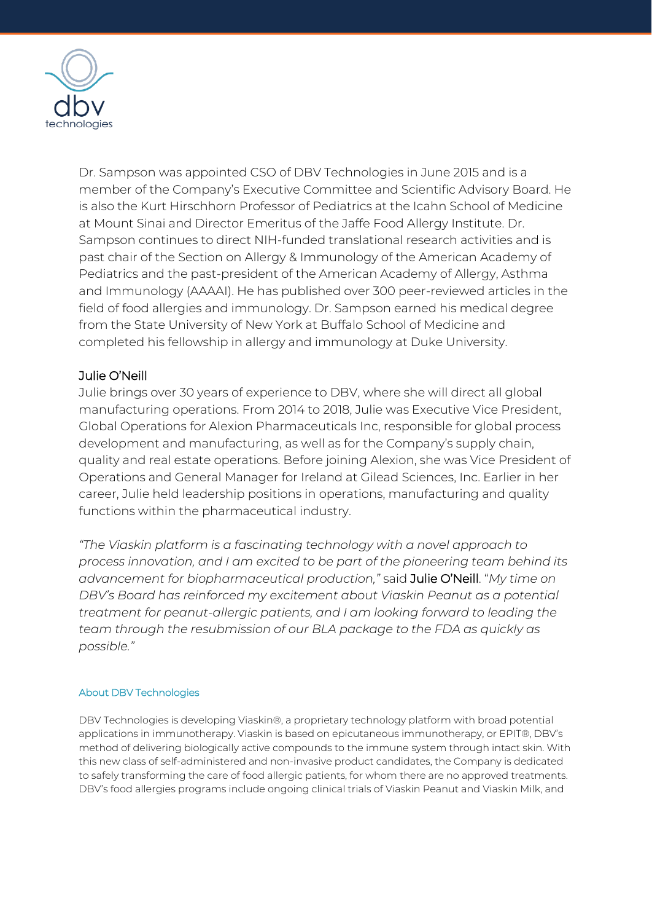

Dr. Sampson was appointed CSO of DBV Technologies in June 2015 and is a member of the Company's Executive Committee and Scientific Advisory Board. He is also the Kurt Hirschhorn Professor of Pediatrics at the Icahn School of Medicine at Mount Sinai and Director Emeritus of the Jaffe Food Allergy Institute. Dr. Sampson continues to direct NIH-funded translational research activities and is past chair of the Section on Allergy & Immunology of the American Academy of Pediatrics and the past-president of the American Academy of Allergy, Asthma and Immunology (AAAAI). He has published over 300 peer-reviewed articles in the field of food allergies and immunology. Dr. Sampson earned his medical degree from the State University of New York at Buffalo School of Medicine and completed his fellowship in allergy and immunology at Duke University.

### Julie O'Neill

Julie brings over 30 years of experience to DBV, where she will direct all global manufacturing operations. From 2014 to 2018, Julie was Executive Vice President, Global Operations for Alexion Pharmaceuticals Inc, responsible for global process development and manufacturing, as well as for the Company's supply chain, quality and real estate operations. Before joining Alexion, she was Vice President of Operations and General Manager for Ireland at Gilead Sciences, Inc. Earlier in her career, Julie held leadership positions in operations, manufacturing and quality functions within the pharmaceutical industry.

*"The Viaskin platform is a fascinating technology with a novel approach to process innovation, and I am excited to be part of the pioneering team behind its advancement for biopharmaceutical production,"* said Julie O'Neill. "*My time on DBV's Board has reinforced my excitement about Viaskin Peanut as a potential treatment for peanut-allergic patients, and I am looking forward to leading the team through the resubmission of our BLA package to the FDA as quickly as possible."*

#### About DBV Technologies

DBV Technologies is developing Viaskin®, a proprietary technology platform with broad potential applications in immunotherapy. Viaskin is based on epicutaneous immunotherapy, or EPIT®, DBV's method of delivering biologically active compounds to the immune system through intact skin. With this new class of self-administered and non-invasive product candidates, the Company is dedicated to safely transforming the care of food allergic patients, for whom there are no approved treatments. DBV's food allergies programs include ongoing clinical trials of Viaskin Peanut and Viaskin Milk, and